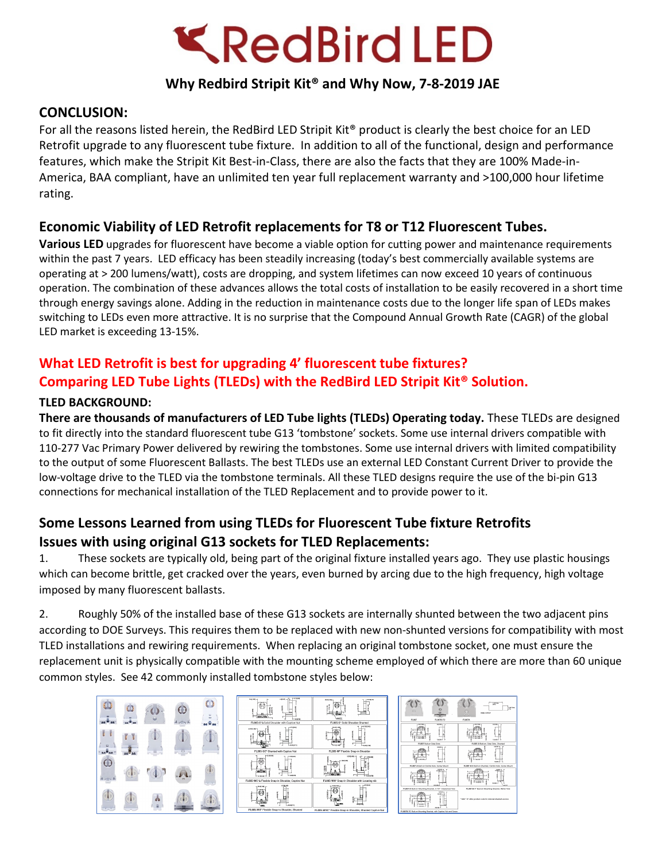

## **Why Redbird Stripit Kit® and Why Now, 7-8-2019 JAE**

## **CONCLUSION:**

For all the reasons listed herein, the RedBird LED Stripit Kit® product is clearly the best choice for an LED Retrofit upgrade to any fluorescent tube fixture. In addition to all of the functional, design and performance features, which make the Stripit Kit Best-in-Class, there are also the facts that they are 100% Made-in-America, BAA compliant, have an unlimited ten year full replacement warranty and >100,000 hour lifetime rating.

## **Economic Viability of LED Retrofit replacements for T8 or T12 Fluorescent Tubes.**

**Various LED** upgrades for fluorescent have become a viable option for cutting power and maintenance requirements within the past 7 years. LED efficacy has been steadily increasing (today's best commercially available systems are operating at > 200 lumens/watt), costs are dropping, and system lifetimes can now exceed 10 years of continuous operation. The combination of these advances allows the total costs of installation to be easily recovered in a short time through energy savings alone. Adding in the reduction in maintenance costs due to the longer life span of LEDs makes switching to LEDs even more attractive. It is no surprise that the Compound Annual Growth Rate (CAGR) of the global LED market is exceeding 13-15%.

# **What LED Retrofit is best for upgrading 4' fluorescent tube fixtures? Comparing LED Tube Lights (TLEDs) with the RedBird LED Stripit Kit® Solution.**

#### **TLED BACKGROUND:**

**There are thousands of manufacturers of LED Tube lights (TLEDs) Operating today.** These TLEDs are designed to fit directly into the standard fluorescent tube G13 'tombstone' sockets. Some use internal drivers compatible with 110-277 Vac Primary Power delivered by rewiring the tombstones. Some use internal drivers with limited compatibility to the output of some Fluorescent Ballasts. The best TLEDs use an external LED Constant Current Driver to provide the low-voltage drive to the TLED via the tombstone terminals. All these TLED designs require the use of the bi-pin G13 connections for mechanical installation of the TLED Replacement and to provide power to it.

## **Some Lessons Learned from using TLEDs for Fluorescent Tube fixture Retrofits Issues with using original G13 sockets for TLED Replacements:**

1. These sockets are typically old, being part of the original fixture installed years ago. They use plastic housings which can become brittle, get cracked over the years, even burned by arcing due to the high frequency, high voltage imposed by many fluorescent ballasts.

2. Roughly 50% of the installed base of these G13 sockets are internally shunted between the two adjacent pins according to DOE Surveys. This requires them to be replaced with new non-shunted versions for compatibility with most TLED installations and rewiring requirements. When replacing an original tombstone socket, one must ensure the replacement unit is physically compatible with the mounting scheme employed of which there are more than 60 unique common styles. See 42 commonly installed tombstone styles below:

| 03      |                     | $\odot$ | חז |
|---------|---------------------|---------|----|
|         |                     |         |    |
| $\odot$ | $\mathcal{F}(\Phi)$ | e       |    |
|         |                     |         |    |

| P-170M<br>$0500 - 17$<br>$34132 -$<br><b>HARME</b>                      | 2010/06/07<br>ema se<br>š                                 |  |  |
|-------------------------------------------------------------------------|-----------------------------------------------------------|--|--|
| FL005-C*A Solid Shoulder with Captive Nut                               | FL005-8* Solid Shoulder Shunted                           |  |  |
| emme<br>24401-00-0<br>ł<br><b>AXIL</b> Y                                | PANDAR<br>ā<br><b>BY A FM</b>                             |  |  |
| FL00S-BC* Shumed with Captive Nut                                       | FL005-W* Flexible Snap-in Shoulder                        |  |  |
| $-3.47195$<br>$-19004$<br>š<br><b>ABA</b><br>1.114.74<br><b>MARGARE</b> | 120104-04<br>$-13030$<br>340.89<br>$-$ 10016.708          |  |  |
| FL005-WC*A Flexible Snap-in Shoulder, Captive Nut                       | FL005-WN* Snap-in Shoulder with Locating rib              |  |  |
| 1,70,100<br><b>BANKAR</b><br>4,8970                                     | $-470004$<br>nero                                         |  |  |
| FL005-W8* Flexible Snap-in Shoulder, Shunted                            | FL00S-WSC* Flexible Snap-in Shoulder, Shunted Captive Net |  |  |
|                                                                         |                                                           |  |  |

| FL007                                                          | m<br>FL007R-TC                            | FL067A                                                     | <b>PARK GATOUT</b> | <b>LET MA</b><br><b>LIMTOWE</b><br>m               |  |
|----------------------------------------------------------------|-------------------------------------------|------------------------------------------------------------|--------------------|----------------------------------------------------|--|
|                                                                |                                           |                                                            |                    |                                                    |  |
| $-0.00000$<br>Ì                                                | seven a<br>٠<br>tasan J                   | 100108-0<br><b>ALCOHOL</b>                                 |                    | 100.00-<br><b>DAM-</b>                             |  |
| F4 847 Fluttun Side Stots                                      |                                           |                                                            |                    | FL007-R Ruture, Side Stots, Strenger               |  |
| erin di                                                        | <b>SESEA</b><br>taxes of                  |                                                            |                    | 104,86 1<br>tase -                                 |  |
| FL087-A Dut)-on Centre Hole, Gorey Mount                       |                                           |                                                            |                    | FL067-A-S But-on Shunted, Centre Hole, Screw Mount |  |
| ĩ<br>۰<br>50.80<br>--                                          | <b>LEASE</b><br>sense.                    | i<br>í<br>---<br>5.41.09                                   |                    | an.<br>1414<br><b>APP</b>                          |  |
| FL007-B But on Mounting Bracket, 0.157" Clearance Hole         |                                           |                                                            |                    | FL007-B-T* Butt on Mounting Bracket, #6/22 Hole    |  |
| š<br>i<br>---                                                  | $\frac{1}{2}$<br>149.00<br><b>College</b> | "Add "-5" after another) code for internal shareed yarnism |                    |                                                    |  |
| FL0678-TC But-on Mounting English, with Captive Nut and Screen |                                           |                                                            |                    |                                                    |  |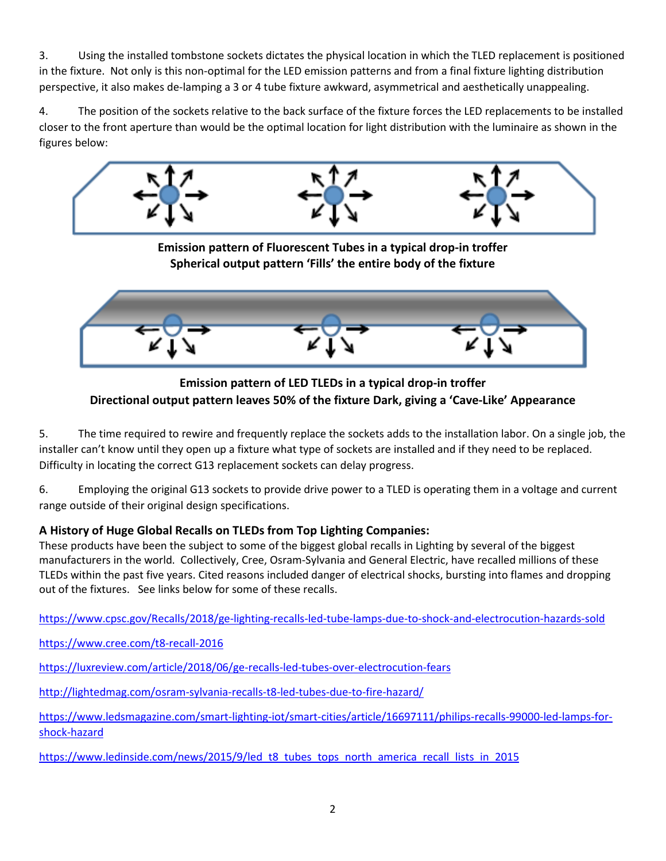3. Using the installed tombstone sockets dictates the physical location in which the TLED replacement is positioned in the fixture. Not only is this non-optimal for the LED emission patterns and from a final fixture lighting distribution perspective, it also makes de-lamping a 3 or 4 tube fixture awkward, asymmetrical and aesthetically unappealing.

4. The position of the sockets relative to the back surface of the fixture forces the LED replacements to be installed closer to the front aperture than would be the optimal location for light distribution with the luminaire as shown in the figures below:





**Emission pattern of LED TLEDs in a typical drop-in troffer Directional output pattern leaves 50% of the fixture Dark, giving a 'Cave-Like' Appearance**

5. The time required to rewire and frequently replace the sockets adds to the installation labor. On a single job, the installer can't know until they open up a fixture what type of sockets are installed and if they need to be replaced. Difficulty in locating the correct G13 replacement sockets can delay progress.

6. Employing the original G13 sockets to provide drive power to a TLED is operating them in a voltage and current range outside of their original design specifications.

#### **A History of Huge Global Recalls on TLEDs from Top Lighting Companies:**

These products have been the subject to some of the biggest global recalls in Lighting by several of the biggest manufacturers in the world. Collectively, Cree, Osram-Sylvania and General Electric, have recalled millions of these TLEDs within the past five years. Cited reasons included danger of electrical shocks, bursting into flames and dropping out of the fixtures. See links below for some of these recalls.

<https://www.cpsc.gov/Recalls/2018/ge-lighting-recalls-led-tube-lamps-due-to-shock-and-electrocution-hazards-sold>

<https://www.cree.com/t8-recall-2016>

<https://luxreview.com/article/2018/06/ge-recalls-led-tubes-over-electrocution-fears>

<http://lightedmag.com/osram-sylvania-recalls-t8-led-tubes-due-to-fire-hazard/>

[https://www.ledsmagazine.com/smart-lighting-iot/smart-cities/article/16697111/philips-recalls-99000-led-lamps-for](https://www.ledsmagazine.com/smart-lighting-iot/smart-cities/article/16697111/philips-recalls-99000-led-lamps-for-shock-hazard)[shock-hazard](https://www.ledsmagazine.com/smart-lighting-iot/smart-cities/article/16697111/philips-recalls-99000-led-lamps-for-shock-hazard)

[https://www.ledinside.com/news/2015/9/led\\_t8\\_tubes\\_tops\\_north\\_america\\_recall\\_lists\\_in\\_2015](https://www.ledinside.com/news/2015/9/led_t8_tubes_tops_north_america_recall_lists_in_2015)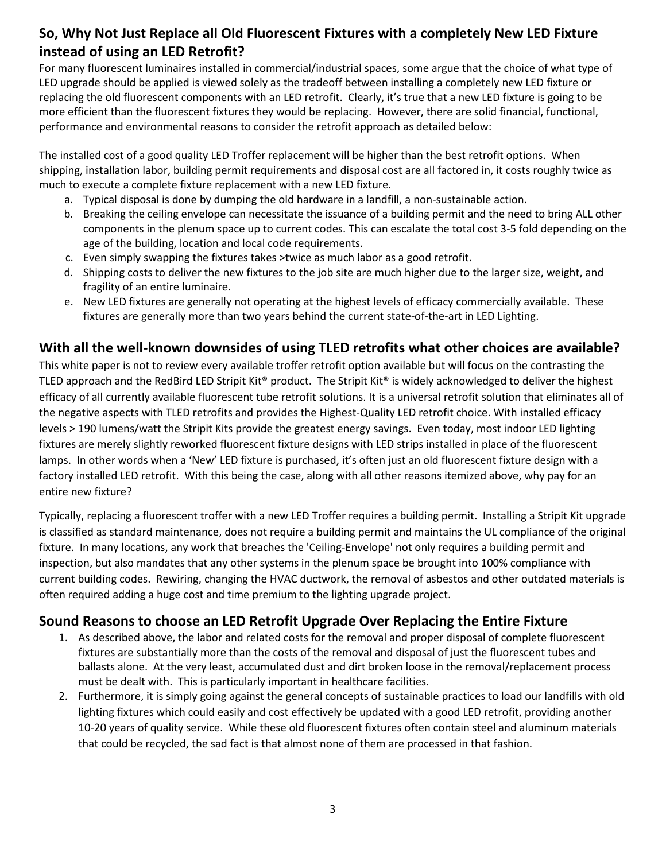# **So, Why Not Just Replace all Old Fluorescent Fixtures with a completely New LED Fixture instead of using an LED Retrofit?**

For many fluorescent luminaires installed in commercial/industrial spaces, some argue that the choice of what type of LED upgrade should be applied is viewed solely as the tradeoff between installing a completely new LED fixture or replacing the old fluorescent components with an LED retrofit. Clearly, it's true that a new LED fixture is going to be more efficient than the fluorescent fixtures they would be replacing. However, there are solid financial, functional, performance and environmental reasons to consider the retrofit approach as detailed below:

The installed cost of a good quality LED Troffer replacement will be higher than the best retrofit options. When shipping, installation labor, building permit requirements and disposal cost are all factored in, it costs roughly twice as much to execute a complete fixture replacement with a new LED fixture.

- a. Typical disposal is done by dumping the old hardware in a landfill, a non-sustainable action.
- b. Breaking the ceiling envelope can necessitate the issuance of a building permit and the need to bring ALL other components in the plenum space up to current codes. This can escalate the total cost 3-5 fold depending on the age of the building, location and local code requirements.
- c. Even simply swapping the fixtures takes >twice as much labor as a good retrofit.
- d. Shipping costs to deliver the new fixtures to the job site are much higher due to the larger size, weight, and fragility of an entire luminaire.
- e. New LED fixtures are generally not operating at the highest levels of efficacy commercially available. These fixtures are generally more than two years behind the current state-of-the-art in LED Lighting.

#### **With all the well-known downsides of using TLED retrofits what other choices are available?**

This white paper is not to review every available troffer retrofit option available but will focus on the contrasting the TLED approach and the RedBird LED Stripit Kit<sup>®</sup> product. The Stripit Kit<sup>®</sup> is widely acknowledged to deliver the highest efficacy of all currently available fluorescent tube retrofit solutions. It is a universal retrofit solution that eliminates all of the negative aspects with TLED retrofits and provides the Highest-Quality LED retrofit choice. With installed efficacy levels > 190 lumens/watt the Stripit Kits provide the greatest energy savings. Even today, most indoor LED lighting fixtures are merely slightly reworked fluorescent fixture designs with LED strips installed in place of the fluorescent lamps. In other words when a 'New' LED fixture is purchased, it's often just an old fluorescent fixture design with a factory installed LED retrofit. With this being the case, along with all other reasons itemized above, why pay for an entire new fixture?

Typically, replacing a fluorescent troffer with a new LED Troffer requires a building permit. Installing a Stripit Kit upgrade is classified as standard maintenance, does not require a building permit and maintains the UL compliance of the original fixture. In many locations, any work that breaches the 'Ceiling-Envelope' not only requires a building permit and inspection, but also mandates that any other systems in the plenum space be brought into 100% compliance with current building codes. Rewiring, changing the HVAC ductwork, the removal of asbestos and other outdated materials is often required adding a huge cost and time premium to the lighting upgrade project.

## **Sound Reasons to choose an LED Retrofit Upgrade Over Replacing the Entire Fixture**

- 1. As described above, the labor and related costs for the removal and proper disposal of complete fluorescent fixtures are substantially more than the costs of the removal and disposal of just the fluorescent tubes and ballasts alone. At the very least, accumulated dust and dirt broken loose in the removal/replacement process must be dealt with. This is particularly important in healthcare facilities.
- 2. Furthermore, it is simply going against the general concepts of sustainable practices to load our landfills with old lighting fixtures which could easily and cost effectively be updated with a good LED retrofit, providing another 10-20 years of quality service. While these old fluorescent fixtures often contain steel and aluminum materials that could be recycled, the sad fact is that almost none of them are processed in that fashion.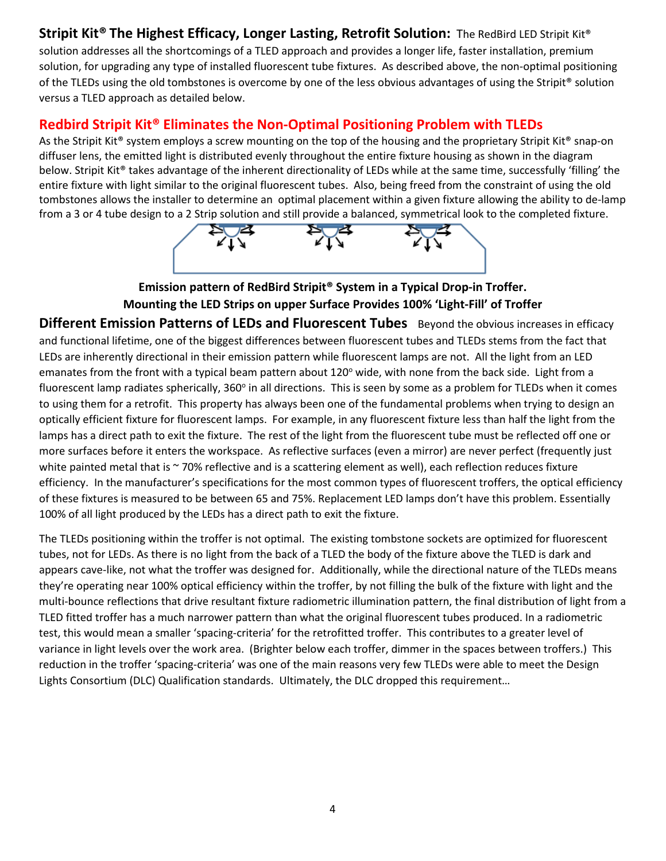## **Stripit Kit® The Highest Efficacy, Longer Lasting, Retrofit Solution:** The RedBird LED Stripit Kit®

solution addresses all the shortcomings of a TLED approach and provides a longer life, faster installation, premium solution, for upgrading any type of installed fluorescent tube fixtures. As described above, the non-optimal positioning of the TLEDs using the old tombstones is overcome by one of the less obvious advantages of using the Stripit® solution versus a TLED approach as detailed below.

## **Redbird Stripit Kit® Eliminates the Non-Optimal Positioning Problem with TLEDs**

As the Stripit Kit® system employs a screw mounting on the top of the housing and the proprietary Stripit Kit® snap-on diffuser lens, the emitted light is distributed evenly throughout the entire fixture housing as shown in the diagram below. Stripit Kit® takes advantage of the inherent directionality of LEDs while at the same time, successfully 'filling' the entire fixture with light similar to the original fluorescent tubes. Also, being freed from the constraint of using the old tombstones allows the installer to determine an optimal placement within a given fixture allowing the ability to de-lamp from a 3 or 4 tube design to a 2 Strip solution and still provide a balanced, symmetrical look to the completed fixture.



**Emission pattern of RedBird Stripit® System in a Typical Drop-in Troffer. Mounting the LED Strips on upper Surface Provides 100% 'Light-Fill' of Troffer**

**Different Emission Patterns of LEDs and Fluorescent Tubes** Beyond the obvious increases in efficacy and functional lifetime, one of the biggest differences between fluorescent tubes and TLEDs stems from the fact that LEDs are inherently directional in their emission pattern while fluorescent lamps are not. All the light from an LED emanates from the front with a typical beam pattern about  $120^\circ$  wide, with none from the back side. Light from a fluorescent lamp radiates spherically, 360° in all directions. This is seen by some as a problem for TLEDs when it comes to using them for a retrofit. This property has always been one of the fundamental problems when trying to design an optically efficient fixture for fluorescent lamps. For example, in any fluorescent fixture less than half the light from the lamps has a direct path to exit the fixture. The rest of the light from the fluorescent tube must be reflected off one or more surfaces before it enters the workspace. As reflective surfaces (even a mirror) are never perfect (frequently just white painted metal that is ~70% reflective and is a scattering element as well), each reflection reduces fixture efficiency. In the manufacturer's specifications for the most common types of fluorescent troffers, the optical efficiency of these fixtures is measured to be between 65 and 75%. Replacement LED lamps don't have this problem. Essentially 100% of all light produced by the LEDs has a direct path to exit the fixture.

The TLEDs positioning within the troffer is not optimal. The existing tombstone sockets are optimized for fluorescent tubes, not for LEDs. As there is no light from the back of a TLED the body of the fixture above the TLED is dark and appears cave-like, not what the troffer was designed for. Additionally, while the directional nature of the TLEDs means they're operating near 100% optical efficiency within the troffer, by not filling the bulk of the fixture with light and the multi-bounce reflections that drive resultant fixture radiometric illumination pattern, the final distribution of light from a TLED fitted troffer has a much narrower pattern than what the original fluorescent tubes produced. In a radiometric test, this would mean a smaller 'spacing-criteria' for the retrofitted troffer. This contributes to a greater level of variance in light levels over the work area. (Brighter below each troffer, dimmer in the spaces between troffers.) This reduction in the troffer 'spacing-criteria' was one of the main reasons very few TLEDs were able to meet the Design Lights Consortium (DLC) Qualification standards. Ultimately, the DLC dropped this requirement…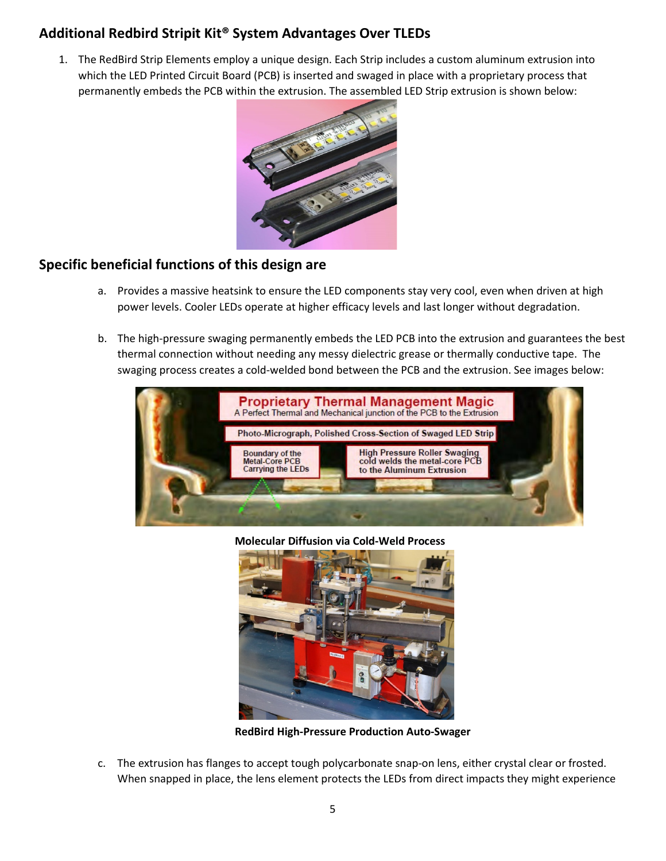## **Additional Redbird Stripit Kit® System Advantages Over TLEDs**

1. The RedBird Strip Elements employ a unique design. Each Strip includes a custom aluminum extrusion into which the LED Printed Circuit Board (PCB) is inserted and swaged in place with a proprietary process that permanently embeds the PCB within the extrusion. The assembled LED Strip extrusion is shown below:



## **Specific beneficial functions of this design are**

- a. Provides a massive heatsink to ensure the LED components stay very cool, even when driven at high power levels. Cooler LEDs operate at higher efficacy levels and last longer without degradation.
- b. The high-pressure swaging permanently embeds the LED PCB into the extrusion and guarantees the best thermal connection without needing any messy dielectric grease or thermally conductive tape. The swaging process creates a cold-welded bond between the PCB and the extrusion. See images below:



**Molecular Diffusion via Cold-Weld Process**



**RedBird High-Pressure Production Auto-Swager**

c. The extrusion has flanges to accept tough polycarbonate snap-on lens, either crystal clear or frosted. When snapped in place, the lens element protects the LEDs from direct impacts they might experience